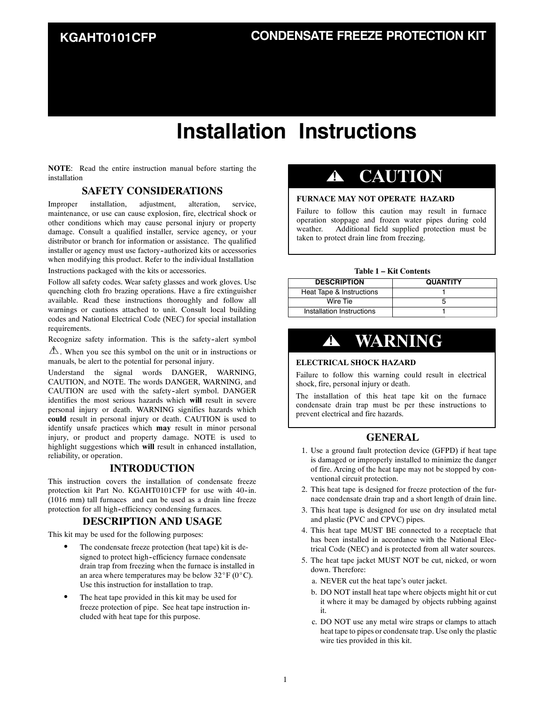### **KGAHT0101CFP**

# **Installation Instructions**

**NOTE**: Read the entire instruction manual before starting the installation

### **SAFETY CONSIDERATIONS**

Improper installation, adjustment, alteration, service, maintenance, or use can cause explosion, fire, electrical shock or other conditions which may cause personal injury or property damage. Consult a qualified installer, service agency, or your distributor or branch for information or assistance. The qualified installer or agency must use factory-authorized kits or accessories when modifying this product. Refer to the individual Installation

Instructions packaged with the kits or accessories.

Follow all safety codes. Wear safety glasses and work gloves. Use quenching cloth fro brazing operations. Have a fire extinguisher available. Read these instructions thoroughly and follow all warnings or cautions attached to unit. Consult local building codes and National Electrical Code (NEC) for special installation requirements.

Recognize safety information. This is the safety-alert symbol

 $\Delta$ . When you see this symbol on the unit or in instructions or manuals, be alert to the potential for personal injury.

Understand the signal words DANGER, WARNING, CAUTION, and NOTE. The words DANGER, WARNING, and CAUTION are used with the safety-alert symbol. DANGER identifies the most serious hazards which **will** result in severe personal injury or death. WARNING signifies hazards which **could** result in personal injury or death. CAUTION is used to identify unsafe practices which **may** result in minor personal injury, or product and property damage. NOTE is used to highlight suggestions which **will** result in enhanced installation, reliability, or operation.

### **INTRODUCTION**

This instruction covers the installation of condensate freeze protection kit Part No. KGAHT0101CFP for use with 40-in. (1016 mm) tall furnaces and can be used as a drain line freeze protection for all high-efficiency condensing furnaces.

### **DESCRIPTION AND USAGE**

This kit may be used for the following purposes:

- The condensate freeze protection (heat tape) kit is designed to protect high--efficiency furnace condensate drain trap from freezing when the furnace is installed in an area where temperatures may be below  $32^{\circ}F (0^{\circ}C)$ . Use this instruction for installation to trap.
- The heat tape provided in this kit may be used for freeze protection of pipe. See heat tape instruction included with heat tape for this purpose.

### **! CAUTION**

### **FURNACE MAY NOT OPERATE HAZARD**

Failure to follow this caution may result in furnace operation stoppage and frozen water pipes during cold weather. Additional field supplied protection must be taken to protect drain line from freezing.

#### **Table 1 – Kit Contents**

| <b>DESCRIPTION</b>        | <b>QUANTITY</b> |
|---------------------------|-----------------|
| Heat Tape & Instructions  |                 |
| Wire Tie                  |                 |
| Installation Instructions |                 |

### **! WARNING**

#### **ELECTRICAL SHOCK HAZARD**

Failure to follow this warning could result in electrical shock, fire, personal injury or death.

The installation of this heat tape kit on the furnace condensate drain trap must be per these instructions to prevent electrical and fire hazards.

### **GENERAL**

- 1. Use a ground fault protection device (GFPD) if heat tape is damaged or improperly installed to minimize the danger of fire. Arcing of the heat tape may not be stopped by conventional circuit protection.
- 2. This heat tape is designed for freeze protection of the furnace condensate drain trap and a short length of drain line.
- 3. This heat tape is designed for use on dry insulated metal and plastic (PVC and CPVC) pipes.
- 4. This heat tape MUST BE connected to a receptacle that has been installed in accordance with the National Electrical Code (NEC) and is protected from all water sources.
- 5. The heat tape jacket MUST NOT be cut, nicked, or worn down. Therefore:
	- a. NEVER cut the heat tape's outer jacket.
	- b. DO NOT install heat tape where objects might hit or cut it where it may be damaged by objects rubbing against it.
	- c. DO NOT use any metal wire straps or clamps to attach heat tape to pipes or condensate trap. Use only the plastic wire ties provided in this kit.